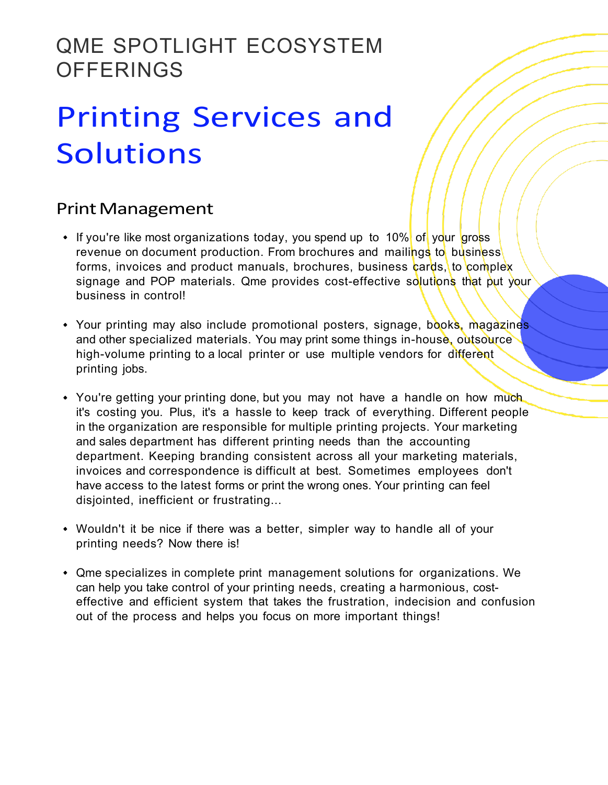## QME SPOTLIGHT ECOSYSTEM **OFFERINGS**

# Printing Services and **Solutions**

### **Print Management**

- If you're like most organizations today, you spend up to 10% of your gross revenue on document production. From brochures and mailings to business forms, invoices and product manuals, brochures, business cards, to complex signage and POP materials. Qme provides cost-effective solutions that put your business in control!
- Your printing may also include promotional posters, signage, books, magazines and other specialized materials. You may print some things in-house, outsource high-volume printing to a local printer or use multiple vendors for different printing jobs.
- You're getting your printing done, but you may not have a handle on how much it's costing you. Plus, it's a hassle to keep track of everything. Different people in the organization are responsible for multiple printing projects. Your marketing and sales department has different printing needs than the accounting department. Keeping branding consistent across all your marketing materials, invoices and correspondence is difficult at best. Sometimes employees don't have access to the latest forms or print the wrong ones. Your printing can feel disjointed, inefficient or frustrating...
- Wouldn't it be nice if there was a better, simpler way to handle all of your printing needs? Now there is!
- Qme specializes in complete print management solutions for organizations. We can help you take control of your printing needs, creating a harmonious, costeffective and efficient system that takes the frustration, indecision and confusion out of the process and helps you focus on more important things!